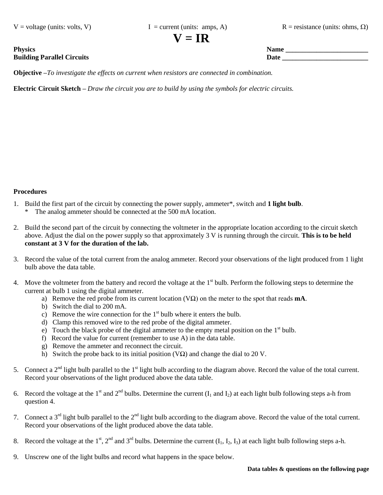$V = \text{voltage (units: volts, V)}$   $I = \text{current (units: amps, A)}$   $R = \text{resistance (units: ohms, \Omega)}$ 

 $V = IR$ 

**Objective –***To investigate the effects on current when resistors are connected in combination.* 

**Electric Circuit Sketch –** *Draw the circuit you are to build by using the symbols for electric circuits.*

## **Procedures**

- 1. Build the first part of the circuit by connecting the power supply, ammeter\*, switch and **1 light bulb**.
	- \* The analog ammeter should be connected at the 500 mA location.
- 2. Build the second part of the circuit by connecting the voltmeter in the appropriate location according to the circuit sketch above. Adjust the dial on the power supply so that approximately 3 V is running through the circuit. **This is to be held constant at 3 V for the duration of the lab.**
- 3. Record the value of the total current from the analog ammeter. Record your observations of the light produced from 1 light bulb above the data table.
- 4. Move the voltmeter from the battery and record the voltage at the  $1<sup>st</sup>$  bulb. Perform the following steps to determine the current at bulb 1 using the digital ammeter.
	- a) Remove the red probe from its current location (VΩ) on the meter to the spot that reads **mA**.
	- b) Switch the dial to 200 mA.
	- c) Remove the wire connection for the  $1<sup>st</sup>$  bulb where it enters the bulb.
	- d) Clamp this removed wire to the red probe of the digital ammeter.
	- e) Touch the black probe of the digital ammeter to the empty metal position on the  $1<sup>st</sup>$  bulb.
	- f) Record the value for current (remember to use A) in the data table.
	- g) Remove the ammeter and reconnect the circuit.
	- h) Switch the probe back to its initial position (V $\Omega$ ) and change the dial to 20 V.
- 5. Connect a  $2<sup>nd</sup>$  light bulb parallel to the 1<sup>st</sup> light bulb according to the diagram above. Record the value of the total current. Record your observations of the light produced above the data table.
- 6. Record the voltage at the 1<sup>st</sup> and 2<sup>nd</sup> bulbs. Determine the current (I<sub>1</sub> and I<sub>2</sub>) at each light bulb following steps a-h from question 4.
- 7. Connect a  $3<sup>rd</sup>$  light bulb parallel to the  $2<sup>nd</sup>$  light bulb according to the diagram above. Record the value of the total current. Record your observations of the light produced above the data table.
- 8. Record the voltage at the 1<sup>st</sup>, 2<sup>nd</sup> and 3<sup>rd</sup> bulbs. Determine the current  $(I_1, I_2, I_3)$  at each light bulb following steps a-h.
- 9. Unscrew one of the light bulbs and record what happens in the space below.

**Physics Name \_\_\_\_\_\_\_\_\_\_\_\_\_\_\_\_\_\_\_\_\_\_\_\_ Building Parallel Circuits Date**  $\overline{a}$